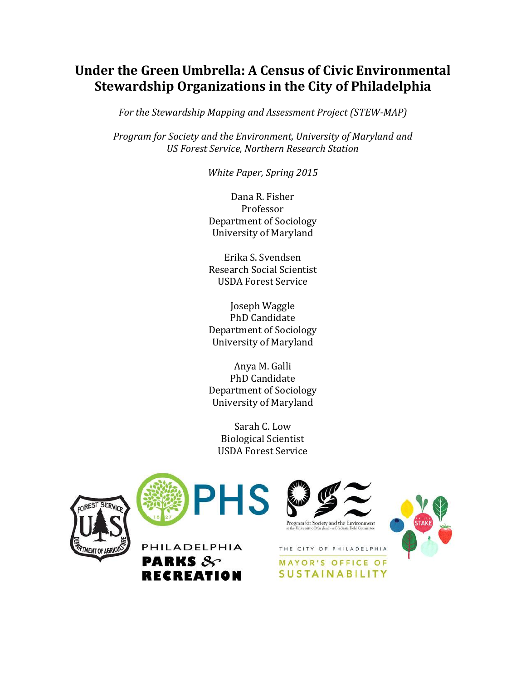# **Under the Green Umbrella: A Census of Civic Environmental Stewardship Organizations in the City of Philadelphia**

*For the Stewardship Mapping and Assessment Project (STEW-MAP)*

*Program for Society and the Environment, University of Maryland and US Forest Service, Northern Research Station* 

*White Paper, Spring 2015*

Dana R. Fisher Professor Department of Sociology University of Maryland

Erika S. Svendsen Research Social Scientist USDA Forest Service

Joseph Waggle PhD Candidate Department of Sociology University of Maryland

Anya M. Galli PhD Candidate Department of Sociology University of Maryland

Sarah C. Low Biological Scientist USDA Forest Service





PHILADELPHIA

**RECREATION** 

**PARKS**  $8$ 





THE CITY OF PHILADELPHIA

**MAYOR'S OFFICE OF SUSTAINABILITY**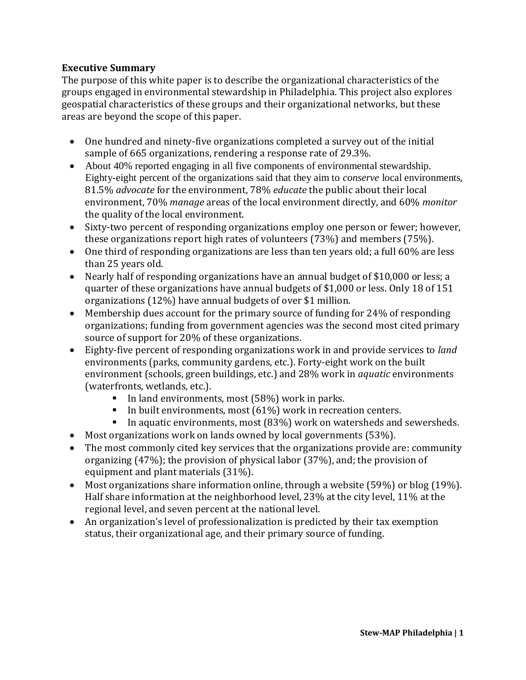# **Executive Summary**

The purpose of this white paper is to describe the organizational characteristics of the groups engaged in environmental stewardship in Philadelphia. This project also explores geospatial characteristics of these groups and their organizational networks, but these areas are beyond the scope of this paper.

- One hundred and ninety-five organizations completed a survey out of the initial sample of 665 organizations, rendering a response rate of 29.3%.
- About 40% reported engaging in all five components of environmental stewardship. Eighty-eight percent of the organizations said that they aim to *conserve* local environments, 81.5% *advocate* for the environment, 78% *educate* the public about their local environment, 70% *manage* areas of the local environment directly, and 60% *monitor* the quality of the local environment.
- Sixty-two percent of responding organizations employ one person or fewer; however, these organizations report high rates of volunteers (73%) and members (75%).
- One third of responding organizations are less than ten years old; a full 60% are less than 25 years old.
- Nearly half of responding organizations have an annual budget of \$10,000 or less; a quarter of these organizations have annual budgets of \$1,000 or less. Only 18 of 151 organizations (12%) have annual budgets of over \$1 million.
- Membership dues account for the primary source of funding for 24% of responding organizations; funding from government agencies was the second most cited primary source of support for 20% of these organizations.
- Eighty-five percent of responding organizations work in and provide services to *land* environments (parks, community gardens, etc.). Forty-eight work on the built environment (schools, green buildings, etc.) and 28% work in *aquatic* environments (waterfronts, wetlands, etc.).
	- In land environments, most (58%) work in parks.
	- In built environments, most (61%) work in recreation centers.
	- In aquatic environments, most (83%) work on watersheds and sewersheds.
- Most organizations work on lands owned by local governments (53%).
- The most commonly cited key services that the organizations provide are: community organizing (47%); the provision of physical labor (37%), and; the provision of equipment and plant materials (31%).
- Most organizations share information online, through a website (59%) or blog (19%). Half share information at the neighborhood level, 23% at the city level, 11% at the regional level, and seven percent at the national level.
- An organization's level of professionalization is predicted by their tax exemption status, their organizational age, and their primary source of funding.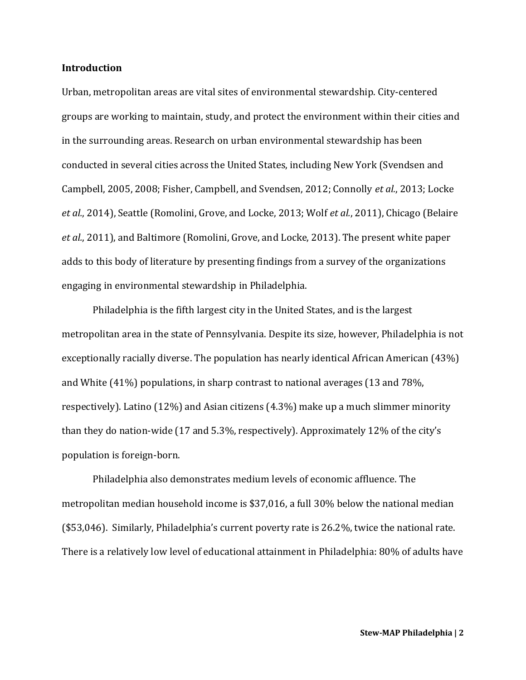### **Introduction**

Urban, metropolitan areas are vital sites of environmental stewardship. City-centered groups are working to maintain, study, and protect the environment within their cities and in the surrounding areas. Research on urban environmental stewardship has been conducted in several cities across the United States, including New York (Svendsen and Campbell, 2005, 2008; Fisher, Campbell, and Svendsen, 2012; Connolly *et al.*, 2013; Locke *et al.*, 2014), Seattle (Romolini, Grove, and Locke, 2013; Wolf *et al.*, 2011), Chicago (Belaire *et al.*, 2011), and Baltimore (Romolini, Grove, and Locke, 2013). The present white paper adds to this body of literature by presenting findings from a survey of the organizations engaging in environmental stewardship in Philadelphia.

Philadelphia is the fifth largest city in the United States, and is the largest metropolitan area in the state of Pennsylvania. Despite its size, however, Philadelphia is not exceptionally racially diverse. The population has nearly identical African American (43%) and White (41%) populations, in sharp contrast to national averages (13 and 78%, respectively). Latino (12%) and Asian citizens (4.3%) make up a much slimmer minority than they do nation-wide (17 and 5.3%, respectively). Approximately 12% of the city's population is foreign-born.

Philadelphia also demonstrates medium levels of economic affluence. The metropolitan median household income is \$37,016, a full 30% below the national median (\$53,046). Similarly, Philadelphia's current poverty rate is 26.2%, twice the national rate. There is a relatively low level of educational attainment in Philadelphia: 80% of adults have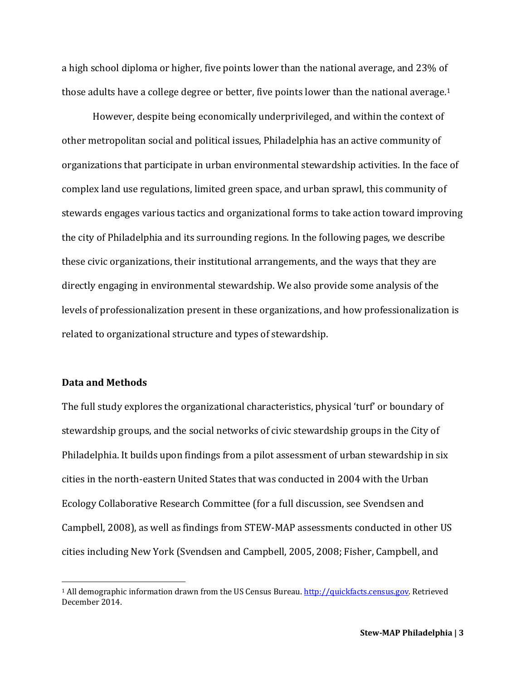a high school diploma or higher, five points lower than the national average, and 23% of those adults have a college degree or better, five points lower than the national average.<sup>1</sup>

However, despite being economically underprivileged, and within the context of other metropolitan social and political issues, Philadelphia has an active community of organizations that participate in urban environmental stewardship activities. In the face of complex land use regulations, limited green space, and urban sprawl, this community of stewards engages various tactics and organizational forms to take action toward improving the city of Philadelphia and its surrounding regions. In the following pages, we describe these civic organizations, their institutional arrangements, and the ways that they are directly engaging in environmental stewardship. We also provide some analysis of the levels of professionalization present in these organizations, and how professionalization is related to organizational structure and types of stewardship.

### **Data and Methods**

 $\overline{\phantom{a}}$ 

The full study explores the organizational characteristics, physical 'turf' or boundary of stewardship groups, and the social networks of civic stewardship groups in the City of Philadelphia. It builds upon findings from a pilot assessment of urban stewardship in six cities in the north-eastern United States that was conducted in 2004 with the Urban Ecology Collaborative Research Committee (for a full discussion, see Svendsen and Campbell, 2008), as well as findings from STEW-MAP assessments conducted in other US cities including New York (Svendsen and Campbell, 2005, 2008; Fisher, Campbell, and

<sup>1</sup> All demographic information drawn from the US Census Bureau. [http://quickfacts.census.gov.](http://quickfacts.census.gov/) Retrieved December 2014.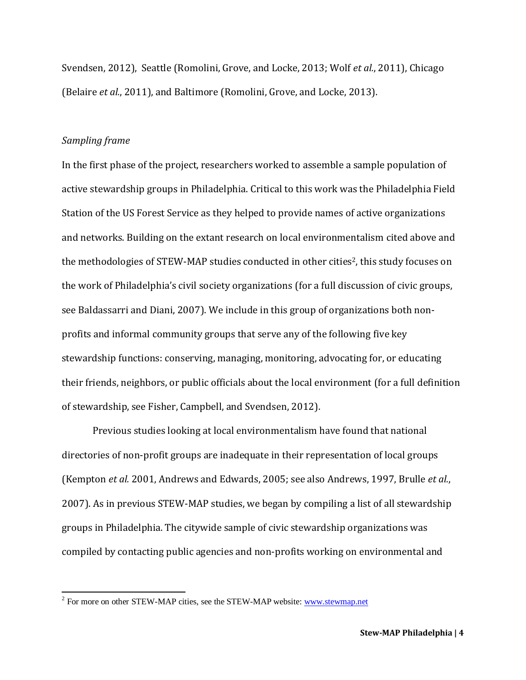Svendsen, 2012), Seattle (Romolini, Grove, and Locke, 2013; Wolf *et al.*, 2011), Chicago (Belaire *et al.*, 2011), and Baltimore (Romolini, Grove, and Locke, 2013).

### *Sampling frame*

In the first phase of the project, researchers worked to assemble a sample population of active stewardship groups in Philadelphia. Critical to this work was the Philadelphia Field Station of the US Forest Service as they helped to provide names of active organizations and networks. Building on the extant research on local environmentalism cited above and the methodologies of STEW-MAP studies conducted in other cities<sup>2</sup>, this study focuses on the work of Philadelphia's civil society organizations (for a full discussion of civic groups, see Baldassarri and Diani, 2007). We include in this group of organizations both nonprofits and informal community groups that serve any of the following five key stewardship functions: conserving, managing, monitoring, advocating for, or educating their friends, neighbors, or public officials about the local environment (for a full definition of stewardship, see Fisher, Campbell, and Svendsen, 2012).

Previous studies looking at local environmentalism have found that national directories of non-profit groups are inadequate in their representation of local groups (Kempton *et al.* 2001, Andrews and Edwards, 2005; see also Andrews, 1997, Brulle *et al.*, 2007). As in previous STEW-MAP studies, we began by compiling a list of all stewardship groups in Philadelphia. The citywide sample of civic stewardship organizations was compiled by contacting public agencies and non-profits working on environmental and

<sup>&</sup>lt;sup>2</sup> For more on other STEW-MAP cities, see the STEW-MAP website: [www.stewmap.net](http://www.stewmap.net/)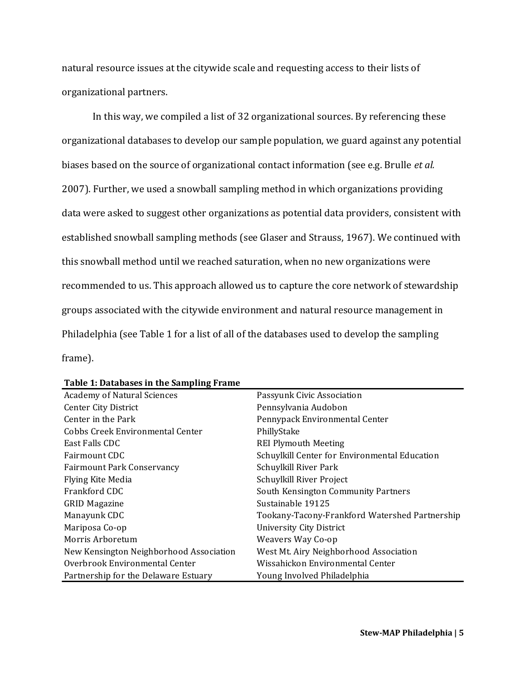natural resource issues at the citywide scale and requesting access to their lists of organizational partners.

In this way, we compiled a list of 32 organizational sources. By referencing these organizational databases to develop our sample population, we guard against any potential biases based on the source of organizational contact information (see e.g. Brulle *et al.* 2007). Further, we used a snowball sampling method in which organizations providing data were asked to suggest other organizations as potential data providers, consistent with established snowball sampling methods (see Glaser and Strauss, 1967). We continued with this snowball method until we reached saturation, when no new organizations were recommended to us. This approach allowed us to capture the core network of stewardship groups associated with the citywide environment and natural resource management in Philadelphia (see Table 1 for a list of all of the databases used to develop the sampling frame).

| <b>Academy of Natural Sciences</b>      | Passyunk Civic Association                     |
|-----------------------------------------|------------------------------------------------|
| Center City District                    | Pennsylvania Audobon                           |
| Center in the Park                      | Pennypack Environmental Center                 |
| Cobbs Creek Environmental Center        | PhillyStake                                    |
| East Falls CDC                          | <b>REI Plymouth Meeting</b>                    |
| Fairmount CDC                           | Schuylkill Center for Environmental Education  |
| <b>Fairmount Park Conservancy</b>       | Schuylkill River Park                          |
| Flying Kite Media                       | Schuylkill River Project                       |
| Frankford CDC                           | South Kensington Community Partners            |
| <b>GRID Magazine</b>                    | Sustainable 19125                              |
| Manayunk CDC                            | Tookany-Tacony-Frankford Watershed Partnership |
| Mariposa Co-op                          | <b>University City District</b>                |
| Morris Arboretum                        | Weavers Way Co-op                              |
| New Kensington Neighborhood Association | West Mt. Airy Neighborhood Association         |
| Overbrook Environmental Center          | Wissahickon Environmental Center               |
| Partnership for the Delaware Estuary    | Young Involved Philadelphia                    |

### **Table 1: Databases in the Sampling Frame**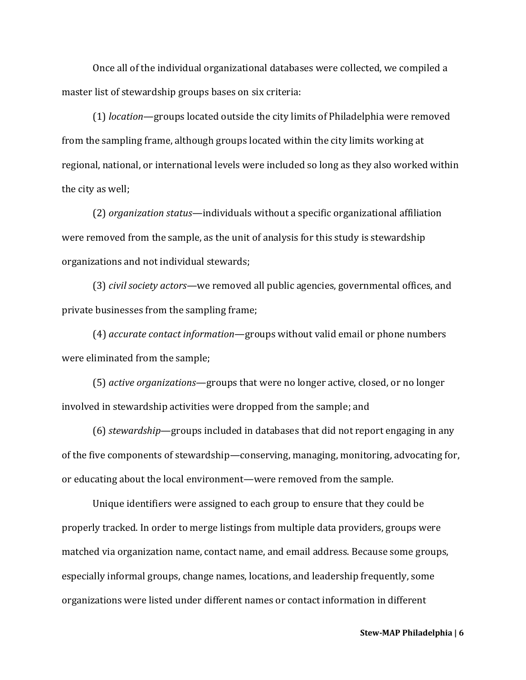Once all of the individual organizational databases were collected, we compiled a master list of stewardship groups bases on six criteria:

(1) *location*—groups located outside the city limits of Philadelphia were removed from the sampling frame, although groups located within the city limits working at regional, national, or international levels were included so long as they also worked within the city as well;

(2) *organization status*—individuals without a specific organizational affiliation were removed from the sample, as the unit of analysis for this study is stewardship organizations and not individual stewards;

(3) *civil society actors*—we removed all public agencies, governmental offices, and private businesses from the sampling frame;

(4) *accurate contact information*—groups without valid email or phone numbers were eliminated from the sample;

(5) *active organizations*—groups that were no longer active, closed, or no longer involved in stewardship activities were dropped from the sample; and

(6) *stewardship*—groups included in databases that did not report engaging in any of the five components of stewardship—conserving, managing, monitoring, advocating for, or educating about the local environment—were removed from the sample.

Unique identifiers were assigned to each group to ensure that they could be properly tracked. In order to merge listings from multiple data providers, groups were matched via organization name, contact name, and email address. Because some groups, especially informal groups, change names, locations, and leadership frequently, some organizations were listed under different names or contact information in different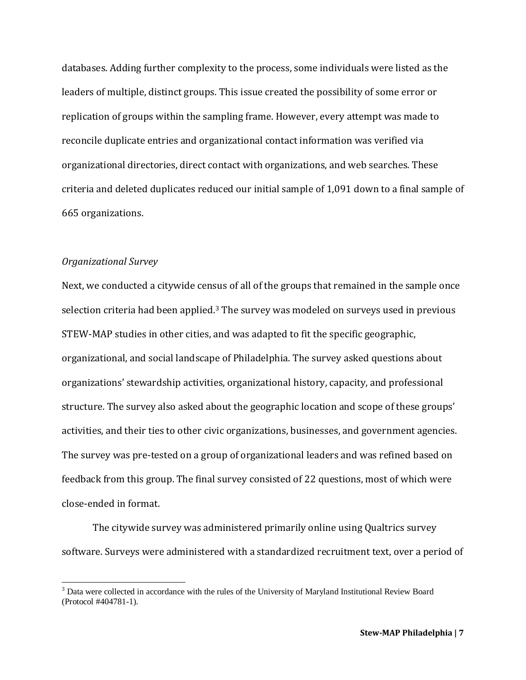databases. Adding further complexity to the process, some individuals were listed as the leaders of multiple, distinct groups. This issue created the possibility of some error or replication of groups within the sampling frame. However, every attempt was made to reconcile duplicate entries and organizational contact information was verified via organizational directories, direct contact with organizations, and web searches. These criteria and deleted duplicates reduced our initial sample of 1,091 down to a final sample of 665 organizations.

### *Organizational Survey*

 $\overline{a}$ 

Next, we conducted a citywide census of all of the groups that remained in the sample once selection criteria had been applied.<sup>3</sup> The survey was modeled on surveys used in previous STEW-MAP studies in other cities, and was adapted to fit the specific geographic, organizational, and social landscape of Philadelphia. The survey asked questions about organizations' stewardship activities, organizational history, capacity, and professional structure. The survey also asked about the geographic location and scope of these groups' activities, and their ties to other civic organizations, businesses, and government agencies. The survey was pre-tested on a group of organizational leaders and was refined based on feedback from this group. The final survey consisted of 22 questions, most of which were close-ended in format.

The citywide survey was administered primarily online using Qualtrics survey software. Surveys were administered with a standardized recruitment text, over a period of

 $3$  Data were collected in accordance with the rules of the University of Maryland Institutional Review Board (Protocol #404781-1).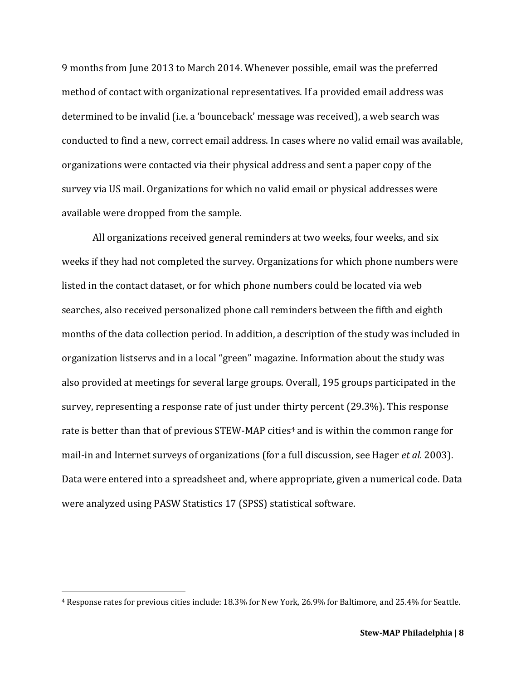9 months from June 2013 to March 2014. Whenever possible, email was the preferred method of contact with organizational representatives. If a provided email address was determined to be invalid (i.e. a 'bounceback' message was received), a web search was conducted to find a new, correct email address. In cases where no valid email was available, organizations were contacted via their physical address and sent a paper copy of the survey via US mail. Organizations for which no valid email or physical addresses were available were dropped from the sample.

All organizations received general reminders at two weeks, four weeks, and six weeks if they had not completed the survey. Organizations for which phone numbers were listed in the contact dataset, or for which phone numbers could be located via web searches, also received personalized phone call reminders between the fifth and eighth months of the data collection period. In addition, a description of the study was included in organization listservs and in a local "green" magazine. Information about the study was also provided at meetings for several large groups. Overall, 195 groups participated in the survey, representing a response rate of just under thirty percent (29.3%). This response rate is better than that of previous STEW-MAP cities<sup>4</sup> and is within the common range for mail-in and Internet surveys of organizations (for a full discussion, see Hager *et al.* 2003). Data were entered into a spreadsheet and, where appropriate, given a numerical code. Data were analyzed using PASW Statistics 17 (SPSS) statistical software.

 $\overline{a}$ 

<sup>4</sup> Response rates for previous cities include: 18.3% for New York, 26.9% for Baltimore, and 25.4% for Seattle.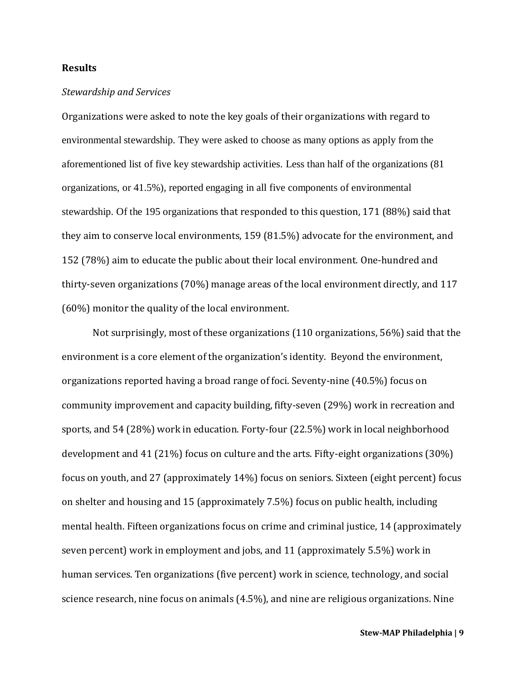### **Results**

### *Stewardship and Services*

Organizations were asked to note the key goals of their organizations with regard to environmental stewardship. They were asked to choose as many options as apply from the aforementioned list of five key stewardship activities. Less than half of the organizations (81 organizations, or 41.5%), reported engaging in all five components of environmental stewardship. Of the 195 organizations that responded to this question, 171 (88%) said that they aim to conserve local environments, 159 (81.5%) advocate for the environment, and 152 (78%) aim to educate the public about their local environment. One-hundred and thirty-seven organizations (70%) manage areas of the local environment directly, and 117 (60%) monitor the quality of the local environment.

Not surprisingly, most of these organizations (110 organizations, 56%) said that the environment is a core element of the organization's identity. Beyond the environment, organizations reported having a broad range of foci. Seventy-nine (40.5%) focus on community improvement and capacity building, fifty-seven (29%) work in recreation and sports, and 54 (28%) work in education. Forty-four (22.5%) work in local neighborhood development and 41 (21%) focus on culture and the arts. Fifty-eight organizations (30%) focus on youth, and 27 (approximately 14%) focus on seniors. Sixteen (eight percent) focus on shelter and housing and 15 (approximately 7.5%) focus on public health, including mental health. Fifteen organizations focus on crime and criminal justice, 14 (approximately seven percent) work in employment and jobs, and 11 (approximately 5.5%) work in human services. Ten organizations (five percent) work in science, technology, and social science research, nine focus on animals (4.5%), and nine are religious organizations. Nine

**Stew-MAP Philadelphia | 9**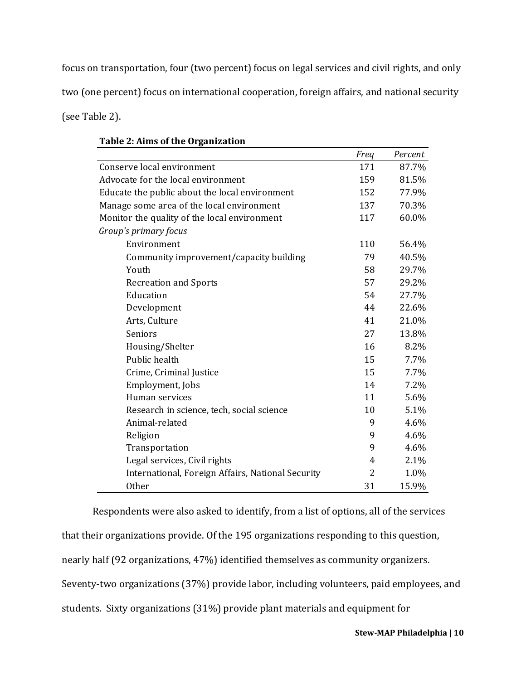focus on transportation, four (two percent) focus on legal services and civil rights, and only two (one percent) focus on international cooperation, foreign affairs, and national security (see Table 2).

|                                                   | Freq | Percent |
|---------------------------------------------------|------|---------|
| Conserve local environment                        | 171  | 87.7%   |
| Advocate for the local environment                | 159  | 81.5%   |
| Educate the public about the local environment    | 152  | 77.9%   |
| Manage some area of the local environment         | 137  | 70.3%   |
| Monitor the quality of the local environment      | 117  | 60.0%   |
| Group's primary focus                             |      |         |
| Environment                                       | 110  | 56.4%   |
| Community improvement/capacity building           | 79   | 40.5%   |
| Youth                                             | 58   | 29.7%   |
| <b>Recreation and Sports</b>                      | 57   | 29.2%   |
| Education                                         | 54   | 27.7%   |
| Development                                       | 44   | 22.6%   |
| Arts, Culture                                     | 41   | 21.0%   |
| Seniors                                           | 27   | 13.8%   |
| Housing/Shelter                                   | 16   | 8.2%    |
| Public health                                     | 15   | 7.7%    |
| Crime, Criminal Justice                           | 15   | 7.7%    |
| Employment, Jobs                                  | 14   | 7.2%    |
| Human services                                    | 11   | 5.6%    |
| Research in science, tech, social science         | 10   | 5.1%    |
| Animal-related                                    | 9    | 4.6%    |
| Religion                                          | 9    | 4.6%    |
| Transportation                                    | 9    | 4.6%    |
| Legal services, Civil rights                      | 4    | 2.1%    |
| International, Foreign Affairs, National Security | 2    | 1.0%    |
| <b>Other</b>                                      | 31   | 15.9%   |

## **Table 2: Aims of the Organization**

Respondents were also asked to identify, from a list of options, all of the services that their organizations provide. Of the 195 organizations responding to this question, nearly half (92 organizations, 47%) identified themselves as community organizers. Seventy-two organizations (37%) provide labor, including volunteers, paid employees, and students. Sixty organizations (31%) provide plant materials and equipment for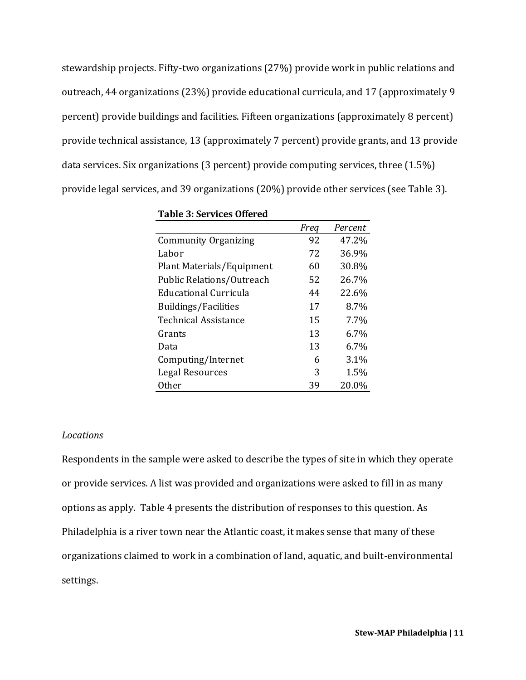stewardship projects. Fifty-two organizations (27%) provide work in public relations and outreach, 44 organizations (23%) provide educational curricula, and 17 (approximately 9 percent) provide buildings and facilities. Fifteen organizations (approximately 8 percent) provide technical assistance, 13 (approximately 7 percent) provide grants, and 13 provide data services. Six organizations (3 percent) provide computing services, three (1.5%) provide legal services, and 39 organizations (20%) provide other services (see Table 3).

|                              | Freq | Percent |
|------------------------------|------|---------|
| <b>Community Organizing</b>  | 92   | 47.2%   |
| Labor                        | 72   | 36.9%   |
| Plant Materials/Equipment    | 60   | 30.8%   |
| Public Relations/Outreach    | 52   | 26.7%   |
| <b>Educational Curricula</b> | 44   | 22.6%   |
| <b>Buildings/Facilities</b>  | 17   | 8.7%    |
| Technical Assistance         | 15   | 7.7%    |
| Grants                       | 13   | 6.7%    |
| Data                         | 13   | 6.7%    |
| Computing/Internet           | 6    | 3.1%    |
| Legal Resources              | 3    | 1.5%    |
| <b>Other</b>                 | 39   | 20.0%   |

**Table 3: Services Offered**

#### *Locations*

Respondents in the sample were asked to describe the types of site in which they operate or provide services. A list was provided and organizations were asked to fill in as many options as apply. Table 4 presents the distribution of responses to this question. As Philadelphia is a river town near the Atlantic coast, it makes sense that many of these organizations claimed to work in a combination of land, aquatic, and built-environmental settings.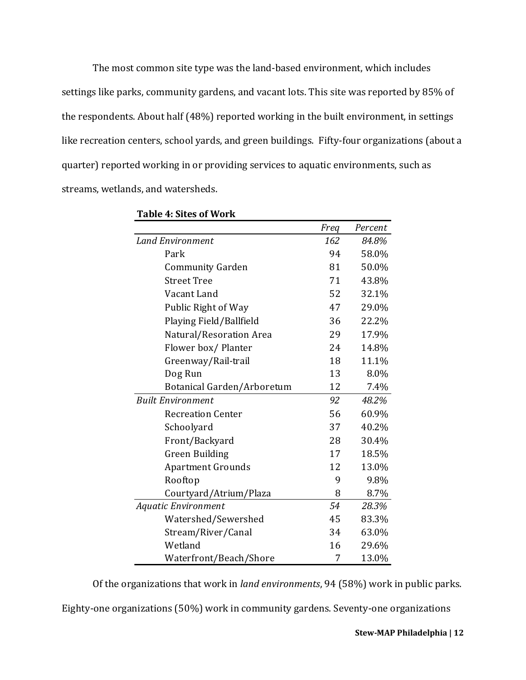The most common site type was the land-based environment, which includes settings like parks, community gardens, and vacant lots. This site was reported by 85% of the respondents. About half (48%) reported working in the built environment, in settings like recreation centers, school yards, and green buildings. Fifty-four organizations (about a quarter) reported working in or providing services to aquatic environments, such as streams, wetlands, and watersheds.

|                            | Freq | Percent |
|----------------------------|------|---------|
| <b>Land Environment</b>    | 162  | 84.8%   |
| Park                       | 94   | 58.0%   |
| <b>Community Garden</b>    | 81   | 50.0%   |
| <b>Street Tree</b>         | 71   | 43.8%   |
| Vacant Land                | 52   | 32.1%   |
| Public Right of Way        | 47   | 29.0%   |
| Playing Field/Ballfield    | 36   | 22.2%   |
| Natural/Resoration Area    | 29   | 17.9%   |
| Flower box/ Planter        | 24   | 14.8%   |
| Greenway/Rail-trail        | 18   | 11.1%   |
| Dog Run                    | 13   | 8.0%    |
| Botanical Garden/Arboretum | 12   | 7.4%    |
| <b>Built Environment</b>   | 92   | 48.2%   |
| <b>Recreation Center</b>   | 56   | 60.9%   |
| Schoolyard                 | 37   | 40.2%   |
| Front/Backyard             | 28   | 30.4%   |
| <b>Green Building</b>      | 17   | 18.5%   |
| <b>Apartment Grounds</b>   | 12   | 13.0%   |
| Rooftop                    | 9    | 9.8%    |
| Courtyard/Atrium/Plaza     | 8    | 8.7%    |
| <b>Aquatic Environment</b> | 54   | 28.3%   |
| Watershed/Sewershed        | 45   | 83.3%   |
| Stream/River/Canal         | 34   | 63.0%   |
| Wetland                    | 16   | 29.6%   |
| Waterfront/Beach/Shore     | 7    | 13.0%   |

**Table 4: Sites of Work**

Of the organizations that work in *land environments*, 94 (58%) work in public parks.

Eighty-one organizations (50%) work in community gardens. Seventy-one organizations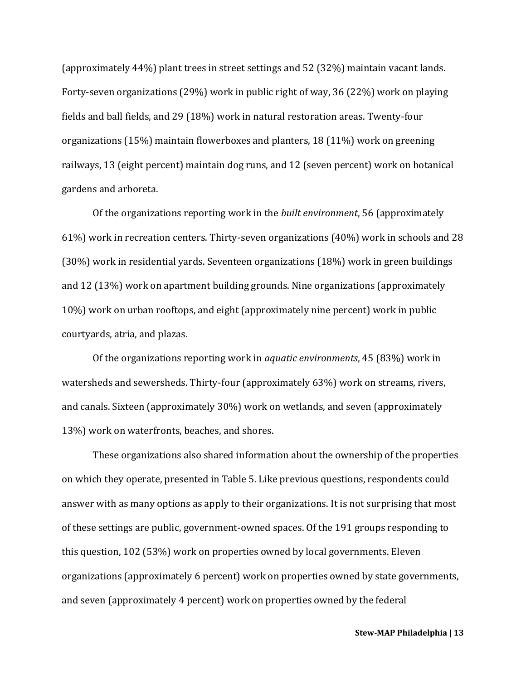(approximately 44%) plant trees in street settings and 52 (32%) maintain vacant lands. Forty-seven organizations (29%) work in public right of way, 36 (22%) work on playing fields and ball fields, and 29 (18%) work in natural restoration areas. Twenty-four organizations (15%) maintain flowerboxes and planters, 18 (11%) work on greening railways, 13 (eight percent) maintain dog runs, and 12 (seven percent) work on botanical gardens and arboreta.

Of the organizations reporting work in the *built environment*, 56 (approximately 61%) work in recreation centers. Thirty-seven organizations (40%) work in schools and 28 (30%) work in residential yards. Seventeen organizations (18%) work in green buildings and 12 (13%) work on apartment building grounds. Nine organizations (approximately 10%) work on urban rooftops, and eight (approximately nine percent) work in public courtyards, atria, and plazas.

Of the organizations reporting work in *aquatic environments*, 45 (83%) work in watersheds and sewersheds. Thirty-four (approximately 63%) work on streams, rivers, and canals. Sixteen (approximately 30%) work on wetlands, and seven (approximately 13%) work on waterfronts, beaches, and shores.

These organizations also shared information about the ownership of the properties on which they operate, presented in Table 5. Like previous questions, respondents could answer with as many options as apply to their organizations. It is not surprising that most of these settings are public, government-owned spaces. Of the 191 groups responding to this question, 102 (53%) work on properties owned by local governments. Eleven organizations (approximately 6 percent) work on properties owned by state governments, and seven (approximately 4 percent) work on properties owned by the federal

**Stew-MAP Philadelphia | 13**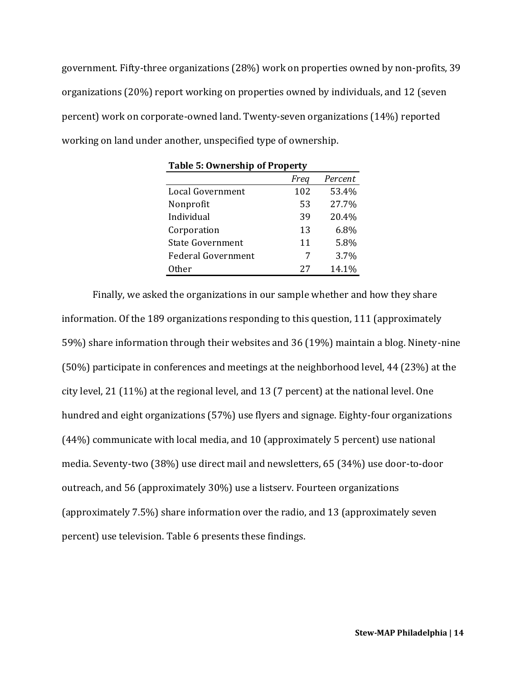government. Fifty-three organizations (28%) work on properties owned by non-profits, 39 organizations (20%) report working on properties owned by individuals, and 12 (seven percent) work on corporate-owned land. Twenty-seven organizations (14%) reported working on land under another, unspecified type of ownership.

**Table 5: Ownership of Property**

| rable 5. Ownership of Froperty |      |         |  |  |  |
|--------------------------------|------|---------|--|--|--|
|                                | Freq | Percent |  |  |  |
| Local Government               | 102  | 53.4%   |  |  |  |
| Nonprofit                      | 53   | 27.7%   |  |  |  |
| Individual                     | 39   | 20.4%   |  |  |  |
| Corporation                    | 13   | 6.8%    |  |  |  |
| <b>State Government</b>        | 11   | 5.8%    |  |  |  |
| Federal Government             | 7    | 3.7%    |  |  |  |
| 0ther                          | 27   | 14.1%   |  |  |  |

Finally, we asked the organizations in our sample whether and how they share information. Of the 189 organizations responding to this question, 111 (approximately 59%) share information through their websites and 36 (19%) maintain a blog. Ninety-nine (50%) participate in conferences and meetings at the neighborhood level, 44 (23%) at the city level, 21 (11%) at the regional level, and 13 (7 percent) at the national level. One hundred and eight organizations (57%) use flyers and signage. Eighty-four organizations (44%) communicate with local media, and 10 (approximately 5 percent) use national media. Seventy-two (38%) use direct mail and newsletters, 65 (34%) use door-to-door outreach, and 56 (approximately 30%) use a listserv. Fourteen organizations (approximately 7.5%) share information over the radio, and 13 (approximately seven percent) use television. Table 6 presents these findings.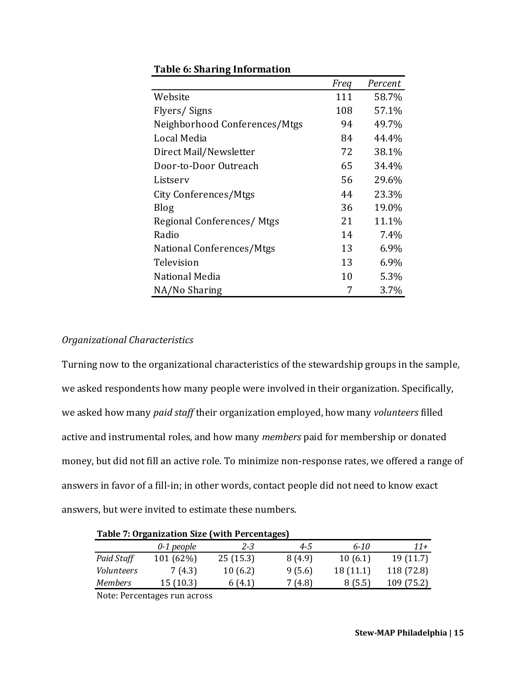|                               | Freq | Percent |
|-------------------------------|------|---------|
| Website                       | 111  | 58.7%   |
| Flyers/Signs                  | 108  | 57.1%   |
| Neighborhood Conferences/Mtgs | 94   | 49.7%   |
| Local Media                   | 84   | 44.4%   |
| Direct Mail/Newsletter        | 72   | 38.1%   |
| Door-to-Door Outreach         | 65   | 34.4%   |
| Listserv                      | 56   | 29.6%   |
| City Conferences/Mtgs         | 44   | 23.3%   |
| <b>Blog</b>                   | 36   | 19.0%   |
| Regional Conferences/Mtgs     | 21   | 11.1%   |
| Radio                         | 14   | 7.4%    |
| National Conferences/Mtgs     | 13   | 6.9%    |
| Television                    | 13   | 6.9%    |
| National Media                | 10   | 5.3%    |
| NA/No Sharing                 | 7    | 3.7%    |

### **Table 6: Sharing Information**

### *Organizational Characteristics*

Turning now to the organizational characteristics of the stewardship groups in the sample, we asked respondents how many people were involved in their organization. Specifically, we asked how many *paid staff* their organization employed, how many *volunteers* filled active and instrumental roles, and how many *members* paid for membership or donated money, but did not fill an active role. To minimize non-response rates, we offered a range of answers in favor of a fill-in; in other words, contact people did not need to know exact answers, but were invited to estimate these numbers.

| <b>Table 7: Organization Size (with Percentages)</b> |              |          |         |          |            |
|------------------------------------------------------|--------------|----------|---------|----------|------------|
|                                                      | $0-1$ people | $2 - 3$  | $4 - 5$ | $6 - 10$ | $11+$      |
| Paid Staff                                           | 101(62%)     | 25(15.3) | 8 (4.9) | 10(6.1)  | 19(11.7)   |
| Volunteers                                           | 7(4.3)       | 10(6.2)  | 9(5.6)  | 18(11.1) | 118 (72.8) |
| <b>Members</b>                                       | 15(10.3)     | 6(4.1)   | 7 (4.8) | 8(5.5)   | 109 (75.2) |

Note: Percentages run across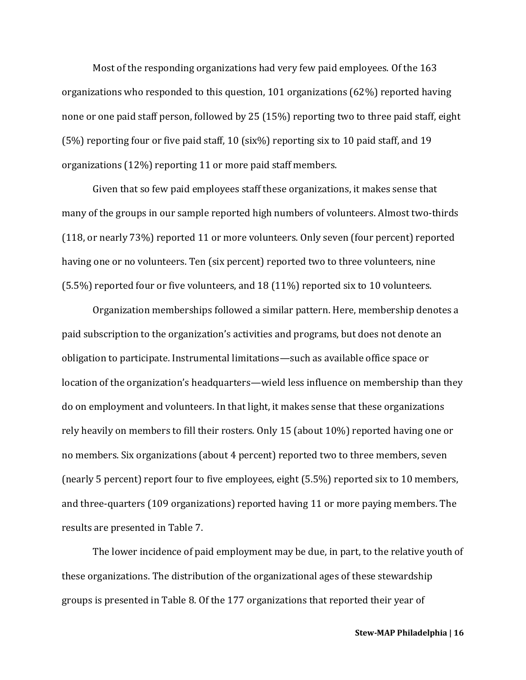Most of the responding organizations had very few paid employees. Of the 163 organizations who responded to this question, 101 organizations (62%) reported having none or one paid staff person, followed by 25 (15%) reporting two to three paid staff, eight (5%) reporting four or five paid staff, 10 (six%) reporting six to 10 paid staff, and 19 organizations (12%) reporting 11 or more paid staff members.

Given that so few paid employees staff these organizations, it makes sense that many of the groups in our sample reported high numbers of volunteers. Almost two-thirds (118, or nearly 73%) reported 11 or more volunteers. Only seven (four percent) reported having one or no volunteers. Ten (six percent) reported two to three volunteers, nine (5.5%) reported four or five volunteers, and 18 (11%) reported six to 10 volunteers.

Organization memberships followed a similar pattern. Here, membership denotes a paid subscription to the organization's activities and programs, but does not denote an obligation to participate. Instrumental limitations—such as available office space or location of the organization's headquarters—wield less influence on membership than they do on employment and volunteers. In that light, it makes sense that these organizations rely heavily on members to fill their rosters. Only 15 (about 10%) reported having one or no members. Six organizations (about 4 percent) reported two to three members, seven (nearly 5 percent) report four to five employees, eight (5.5%) reported six to 10 members, and three-quarters (109 organizations) reported having 11 or more paying members. The results are presented in Table 7.

The lower incidence of paid employment may be due, in part, to the relative youth of these organizations. The distribution of the organizational ages of these stewardship groups is presented in Table 8. Of the 177 organizations that reported their year of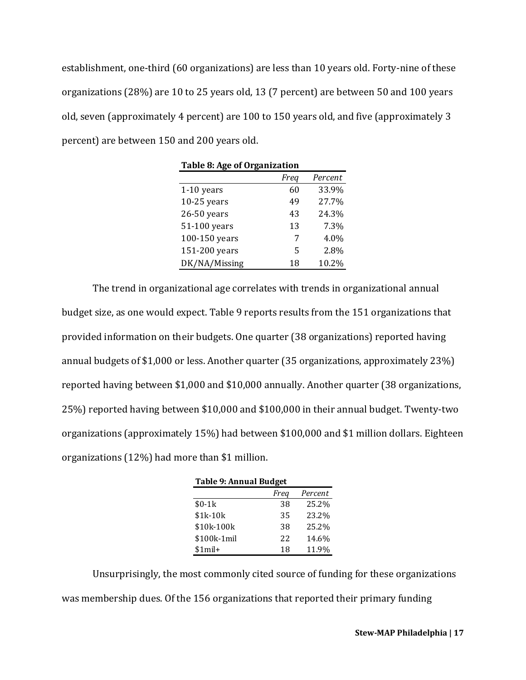establishment, one-third (60 organizations) are less than 10 years old. Forty-nine of these organizations (28%) are 10 to 25 years old, 13 (7 percent) are between 50 and 100 years old, seven (approximately 4 percent) are 100 to 150 years old, and five (approximately 3 percent) are between 150 and 200 years old.

| Table 8: Age of Organization |    |       |  |  |  |  |
|------------------------------|----|-------|--|--|--|--|
| Percent<br>Freq              |    |       |  |  |  |  |
| $1-10$ years                 | 60 | 33.9% |  |  |  |  |
| $10-25$ years                | 49 | 27.7% |  |  |  |  |
| 26-50 years                  | 43 | 24.3% |  |  |  |  |
| 51-100 years                 | 13 | 7.3%  |  |  |  |  |
| 100-150 years                | 7  | 4.0%  |  |  |  |  |
| 151-200 years                | 5  | 2.8%  |  |  |  |  |
| DK/NA/Missing                | 18 | 10.2% |  |  |  |  |

The trend in organizational age correlates with trends in organizational annual budget size, as one would expect. Table 9 reports results from the 151 organizations that provided information on their budgets. One quarter (38 organizations) reported having annual budgets of \$1,000 or less. Another quarter (35 organizations, approximately 23%) reported having between \$1,000 and \$10,000 annually. Another quarter (38 organizations, 25%) reported having between \$10,000 and \$100,000 in their annual budget. Twenty-two organizations (approximately 15%) had between \$100,000 and \$1 million dollars. Eighteen organizations (12%) had more than \$1 million.

| <b>Table 9: Annual Budget</b> |    |       |  |  |  |
|-------------------------------|----|-------|--|--|--|
| Percent<br>Freq               |    |       |  |  |  |
| $$0-1k$                       | 38 | 25.2% |  |  |  |
| \$1k-10k                      | 35 | 23.2% |  |  |  |
| \$10k-100k                    | 38 | 25.2% |  |  |  |
| \$100k-1mil                   | 22 | 14.6% |  |  |  |
| $$1$ mil+                     | 18 | 11.9% |  |  |  |

Unsurprisingly, the most commonly cited source of funding for these organizations was membership dues. Of the 156 organizations that reported their primary funding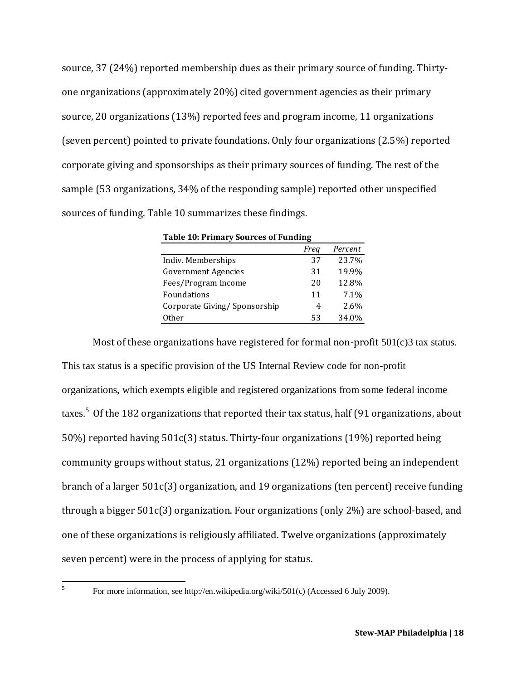source, 37 (24%) reported membership dues as their primary source of funding. Thirtyone organizations (approximately 20%) cited government agencies as their primary source, 20 organizations (13%) reported fees and program income, 11 organizations (seven percent) pointed to private foundations. Only four organizations (2.5%) reported corporate giving and sponsorships as their primary sources of funding. The rest of the sample (53 organizations, 34% of the responding sample) reported other unspecified sources of funding. Table 10 summarizes these findings.

| <b>Table 10: Primary Sources of Funding</b> |      |         |  |  |
|---------------------------------------------|------|---------|--|--|
|                                             | Freg | Percent |  |  |
| Indiv. Memberships                          | 37   | 23.7%   |  |  |
| <b>Government Agencies</b>                  | 31   | 19.9%   |  |  |
| Fees/Program Income                         | 20   | 12.8%   |  |  |
| Foundations                                 | 11   | 7.1%    |  |  |
| Corporate Giving/ Sponsorship               | 4    | 2.6%    |  |  |
| <b>Other</b>                                | 53   | 34.0%   |  |  |

Most of these organizations have registered for formal non-profit  $501(c)3$  tax status. This tax status is a specific provision of the US Internal Review code for non-profit organizations, which exempts eligible and registered organizations from some federal income taxes.<sup>5</sup> Of the 182 organizations that reported their tax status, half (91 organizations, about 50%) reported having 501c(3) status. Thirty-four organizations (19%) reported being community groups without status, 21 organizations (12%) reported being an independent branch of a larger 501c(3) organization, and 19 organizations (ten percent) receive funding through a bigger 501c(3) organization. Four organizations (only 2%) are school-based, and one of these organizations is religiously affiliated. Twelve organizations (approximately seven percent) were in the process of applying for status.

5

For more information, see http://en.wikipedia.org/wiki/501(c) (Accessed 6 July 2009).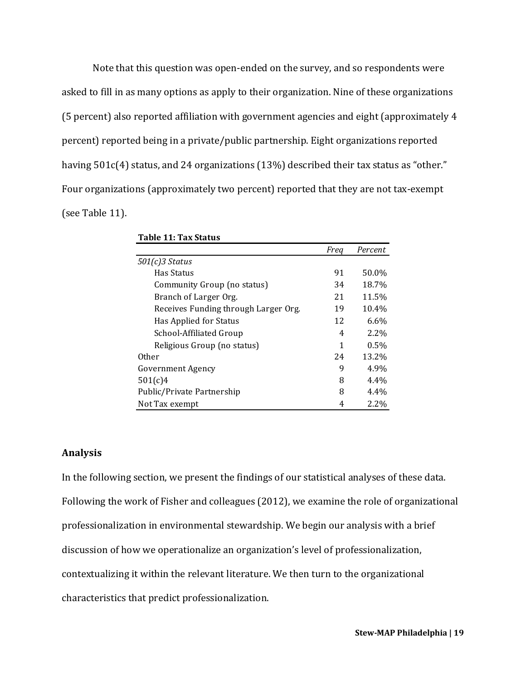Note that this question was open-ended on the survey, and so respondents were asked to fill in as many options as apply to their organization. Nine of these organizations (5 percent) also reported affiliation with government agencies and eight (approximately 4 percent) reported being in a private/public partnership. Eight organizations reported having  $501c(4)$  status, and 24 organizations (13%) described their tax status as "other." Four organizations (approximately two percent) reported that they are not tax-exempt (see Table 11).

|                                      | Freg | Percent |
|--------------------------------------|------|---------|
| $501(c)3$ Status                     |      |         |
| Has Status                           | 91   | 50.0%   |
| Community Group (no status)          | 34   | 18.7%   |
| Branch of Larger Org.                | 21   | 11.5%   |
| Receives Funding through Larger Org. | 19   | 10.4%   |
| Has Applied for Status               | 12   | 6.6%    |
| School-Affiliated Group              | 4    | 2.2%    |
| Religious Group (no status)          | 1    | 0.5%    |
| Other                                | 24   | 13.2%   |
| Government Agency                    | 9    | 4.9%    |
| 501(c)4                              | 8    | $4.4\%$ |
| Public/Private Partnership           | 8    | $4.4\%$ |
| Not Tax exempt                       | 4    | 2.2%    |

#### **Table 11: Tax Status**

### **Analysis**

In the following section, we present the findings of our statistical analyses of these data. Following the work of Fisher and colleagues (2012), we examine the role of organizational professionalization in environmental stewardship. We begin our analysis with a brief discussion of how we operationalize an organization's level of professionalization, contextualizing it within the relevant literature. We then turn to the organizational characteristics that predict professionalization.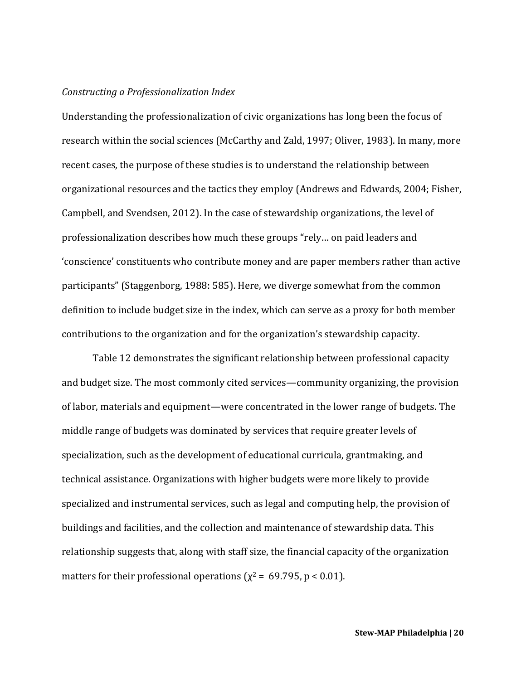### *Constructing a Professionalization Index*

Understanding the professionalization of civic organizations has long been the focus of research within the social sciences (McCarthy and Zald, 1997; Oliver, 1983). In many, more recent cases, the purpose of these studies is to understand the relationship between organizational resources and the tactics they employ (Andrews and Edwards, 2004; Fisher, Campbell, and Svendsen, 2012). In the case of stewardship organizations, the level of professionalization describes how much these groups "rely… on paid leaders and 'conscience' constituents who contribute money and are paper members rather than active participants" (Staggenborg, 1988: 585). Here, we diverge somewhat from the common definition to include budget size in the index, which can serve as a proxy for both member contributions to the organization and for the organization's stewardship capacity.

Table 12 demonstrates the significant relationship between professional capacity and budget size. The most commonly cited services—community organizing, the provision of labor, materials and equipment—were concentrated in the lower range of budgets. The middle range of budgets was dominated by services that require greater levels of specialization, such as the development of educational curricula, grantmaking, and technical assistance. Organizations with higher budgets were more likely to provide specialized and instrumental services, such as legal and computing help, the provision of buildings and facilities, and the collection and maintenance of stewardship data. This relationship suggests that, along with staff size, the financial capacity of the organization matters for their professional operations ( $\chi^2$  = 69.795, p < 0.01).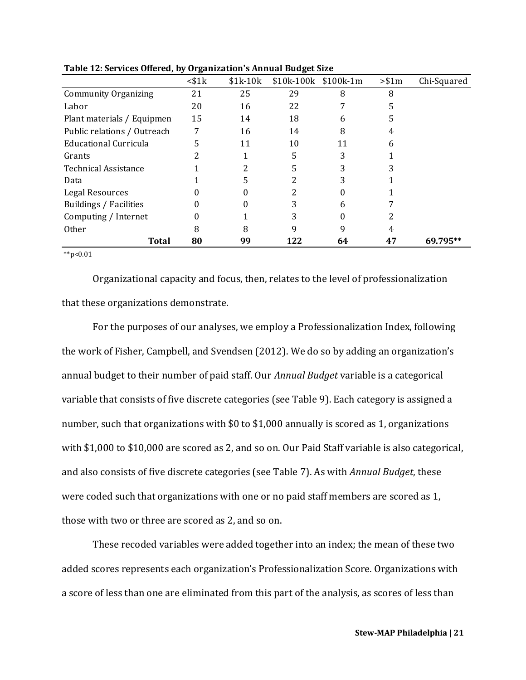|                                                   | $<$ \$1 $k$ | $$1k-10k$ | \$10k-100k \$100k-1m |    | > \$1m | Chi-Squared |
|---------------------------------------------------|-------------|-----------|----------------------|----|--------|-------------|
| <b>Community Organizing</b>                       | 21          | 25        | 29                   | 8  | 8      |             |
| Labor                                             | 20          | 16        | 22                   |    | 5      |             |
| Plant materials / Equipmen                        | 15          | 14        | 18                   | 6  | 5      |             |
| Public relations / Outreach                       | 7           | 16        | 14                   | 8  | 4      |             |
| Educational Curricula                             | 5           | 11        | 10                   | 11 | 6      |             |
| Grants                                            |             |           | 5                    | 3  |        |             |
| <b>Technical Assistance</b>                       |             |           | 5                    | 3  |        |             |
| Data                                              |             |           | っ                    |    |        |             |
| Legal Resources                                   |             |           | 2                    |    |        |             |
| Buildings / Facilities                            |             |           | 3                    | 6  |        |             |
| Computing / Internet                              | 0           |           | 3                    |    | 2      |             |
| <b>Other</b>                                      | 8           | 8         | q                    | 9  | 4      |             |
| <b>Total</b>                                      | 80          | 99        | 122                  | 64 | 47     | 69.795**    |
| $\mathcal{A}$ and $\mathcal{A}$ and $\mathcal{A}$ |             |           |                      |    |        |             |

**Table 12: Services Offered, by Organization's Annual Budget Size**

 $*$  $p$ <0.01

Organizational capacity and focus, then, relates to the level of professionalization that these organizations demonstrate.

For the purposes of our analyses, we employ a Professionalization Index, following the work of Fisher, Campbell, and Svendsen (2012). We do so by adding an organization's annual budget to their number of paid staff. Our *Annual Budget* variable is a categorical variable that consists of five discrete categories (see Table 9). Each category is assigned a number, such that organizations with \$0 to \$1,000 annually is scored as 1, organizations with \$1,000 to \$10,000 are scored as 2, and so on. Our Paid Staff variable is also categorical, and also consists of five discrete categories (see Table 7). As with *Annual Budget*, these were coded such that organizations with one or no paid staff members are scored as 1, those with two or three are scored as 2, and so on.

These recoded variables were added together into an index; the mean of these two added scores represents each organization's Professionalization Score. Organizations with a score of less than one are eliminated from this part of the analysis, as scores of less than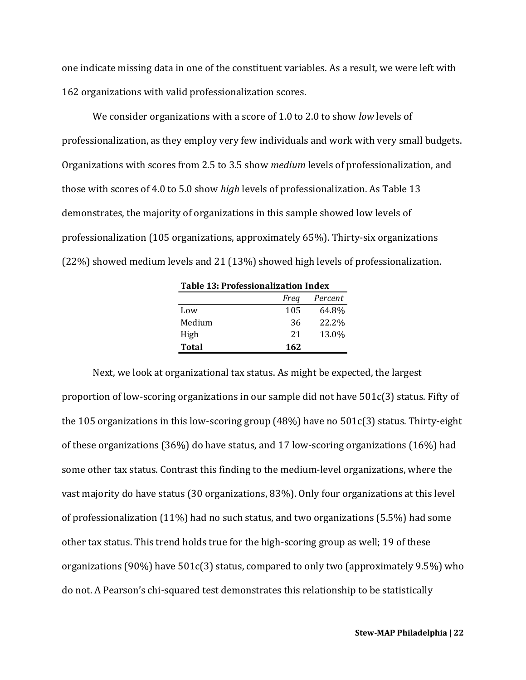one indicate missing data in one of the constituent variables. As a result, we were left with 162 organizations with valid professionalization scores.

We consider organizations with a score of 1.0 to 2.0 to show *low* levels of professionalization, as they employ very few individuals and work with very small budgets. Organizations with scores from 2.5 to 3.5 show *medium* levels of professionalization, and those with scores of 4.0 to 5.0 show *high* levels of professionalization. As Table 13 demonstrates, the majority of organizations in this sample showed low levels of professionalization (105 organizations, approximately 65%). Thirty-six organizations (22%) showed medium levels and 21 (13%) showed high levels of professionalization.

| <b>Table 13: Professionalization Index</b> |                 |       |  |  |  |  |
|--------------------------------------------|-----------------|-------|--|--|--|--|
|                                            | Percent<br>Freq |       |  |  |  |  |
| Low                                        | 105             | 64.8% |  |  |  |  |
| Medium                                     | 36              | 22.2% |  |  |  |  |
| High                                       | 21              | 13.0% |  |  |  |  |
| <b>Total</b>                               | 162             |       |  |  |  |  |

Next, we look at organizational tax status. As might be expected, the largest proportion of low-scoring organizations in our sample did not have 501c(3) status. Fifty of the 105 organizations in this low-scoring group (48%) have no 501c(3) status. Thirty-eight of these organizations (36%) do have status, and 17 low-scoring organizations (16%) had some other tax status. Contrast this finding to the medium-level organizations, where the vast majority do have status (30 organizations, 83%). Only four organizations at this level of professionalization (11%) had no such status, and two organizations (5.5%) had some other tax status. This trend holds true for the high-scoring group as well; 19 of these organizations (90%) have 501c(3) status, compared to only two (approximately 9.5%) who do not. A Pearson's chi-squared test demonstrates this relationship to be statistically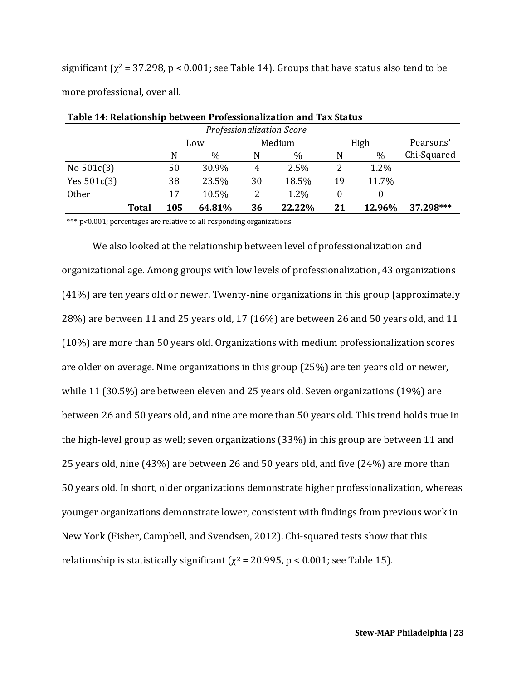significant ( $\chi^2$  = 37.298, p < 0.001; see Table 14). Groups that have status also tend to be more professional, over all.

| Professionalization Score |              |     |        |    |        |    |        |             |  |  |
|---------------------------|--------------|-----|--------|----|--------|----|--------|-------------|--|--|
|                           |              | Low |        |    | Medium |    | High   | Pearsons'   |  |  |
|                           |              | N   | $\%$   | N  | $\%$   | N  | $\%$   | Chi-Squared |  |  |
| No $501c(3)$              |              | 50  | 30.9%  | 4  | 2.5%   |    | 1.2%   |             |  |  |
| Yes $501c(3)$             |              | 38  | 23.5%  | 30 | 18.5%  | 19 | 11.7%  |             |  |  |
| Other                     |              | 17  | 10.5%  | 2  | 1.2%   | 0  |        |             |  |  |
|                           | <b>Total</b> | 105 | 64.81% | 36 | 22.22% | 21 | 12.96% | 37.298***   |  |  |

| Table 14: Relationship between Professionalization and Tax Status |
|-------------------------------------------------------------------|
|-------------------------------------------------------------------|

\*\*\* p<0.001; percentages are relative to all responding organizations

We also looked at the relationship between level of professionalization and organizational age. Among groups with low levels of professionalization, 43 organizations (41%) are ten years old or newer. Twenty-nine organizations in this group (approximately 28%) are between 11 and 25 years old, 17 (16%) are between 26 and 50 years old, and 11 (10%) are more than 50 years old. Organizations with medium professionalization scores are older on average. Nine organizations in this group (25%) are ten years old or newer, while 11 (30.5%) are between eleven and 25 years old. Seven organizations (19%) are between 26 and 50 years old, and nine are more than 50 years old. This trend holds true in the high-level group as well; seven organizations (33%) in this group are between 11 and 25 years old, nine (43%) are between 26 and 50 years old, and five (24%) are more than 50 years old. In short, older organizations demonstrate higher professionalization, whereas younger organizations demonstrate lower, consistent with findings from previous work in New York (Fisher, Campbell, and Svendsen, 2012). Chi-squared tests show that this relationship is statistically significant ( $\chi^2$  = 20.995, p < 0.001; see Table 15).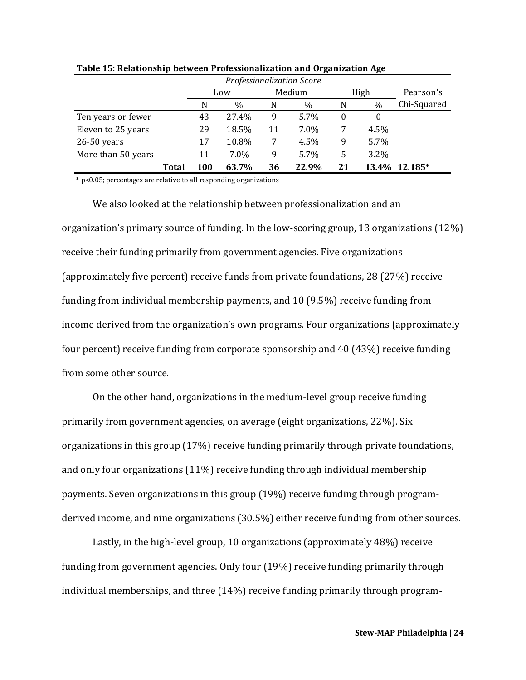|                    |       | Professionalization Score |       |    |        |          |       |             |  |  |
|--------------------|-------|---------------------------|-------|----|--------|----------|-------|-------------|--|--|
|                    |       |                           | Low   |    | Medium |          | High  | Pearson's   |  |  |
|                    |       | N                         | $\%$  | N  | $\%$   | N        | $\%$  | Chi-Squared |  |  |
| Ten years or fewer |       | 43                        | 27.4% | 9  | 5.7%   | $\Omega$ | 0     |             |  |  |
| Eleven to 25 years |       | 29                        | 18.5% | 11 | 7.0%   | 7        | 4.5%  |             |  |  |
| $26-50$ years      |       | 17                        | 10.8% | 7  | 4.5%   | 9        | 5.7%  |             |  |  |
| More than 50 years |       | 11                        | 7.0%  | 9  | 5.7%   | 5        | 3.2%  |             |  |  |
|                    | Total | <b>100</b>                | 63.7% | 36 | 22.9%  | 21       | 13.4% | 12.185*     |  |  |

**Table 15: Relationship between Professionalization and Organization Age**

\* p<0.05; percentages are relative to all responding organizations

We also looked at the relationship between professionalization and an organization's primary source of funding. In the low-scoring group, 13 organizations (12%) receive their funding primarily from government agencies. Five organizations (approximately five percent) receive funds from private foundations, 28 (27%) receive funding from individual membership payments, and 10 (9.5%) receive funding from income derived from the organization's own programs. Four organizations (approximately four percent) receive funding from corporate sponsorship and 40 (43%) receive funding from some other source.

On the other hand, organizations in the medium-level group receive funding primarily from government agencies, on average (eight organizations, 22%). Six organizations in this group (17%) receive funding primarily through private foundations, and only four organizations (11%) receive funding through individual membership payments. Seven organizations in this group (19%) receive funding through programderived income, and nine organizations (30.5%) either receive funding from other sources.

Lastly, in the high-level group, 10 organizations (approximately 48%) receive funding from government agencies. Only four (19%) receive funding primarily through individual memberships, and three (14%) receive funding primarily through program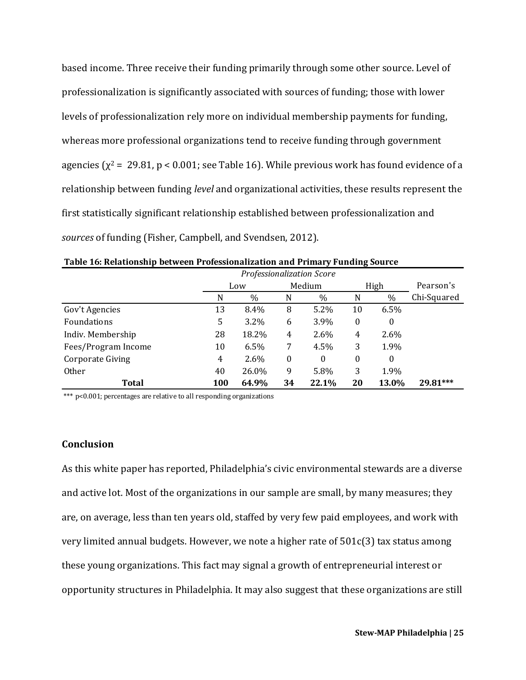based income. Three receive their funding primarily through some other source. Level of professionalization is significantly associated with sources of funding; those with lower levels of professionalization rely more on individual membership payments for funding, whereas more professional organizations tend to receive funding through government agencies ( $\chi^2$  = 29.81, p < 0.001; see Table 16). While previous work has found evidence of a relationship between funding *level* and organizational activities, these results represent the first statistically significant relationship established between professionalization and *sources* of funding (Fisher, Campbell, and Svendsen, 2012).

|                     | Professionalization Score |         |                  |         |          |              |             |
|---------------------|---------------------------|---------|------------------|---------|----------|--------------|-------------|
|                     | Low                       |         | Medium           |         | High     |              | Pearson's   |
|                     | N                         | $\%$    | N                | $\%$    | N        | $\%$         | Chi-Squared |
| Gov't Agencies      | 13                        | 8.4%    | 8                | $5.2\%$ | 10       | 6.5%         |             |
| <b>Foundations</b>  | 5                         | $3.2\%$ | 6                | 3.9%    | $\theta$ | $\mathbf{0}$ |             |
| Indiv. Membership   | 28                        | 18.2%   | 4                | 2.6%    | 4        | 2.6%         |             |
| Fees/Program Income | 10                        | 6.5%    | 7                | 4.5%    | 3        | 1.9%         |             |
| Corporate Giving    | 4                         | 2.6%    | $\boldsymbol{0}$ | 0       | $\Omega$ | $\Omega$     |             |
| <b>Other</b>        | 40                        | 26.0%   | 9                | 5.8%    | 3        | 1.9%         |             |
| Total               | 100                       | 64.9%   | 34               | 22.1%   | 20       | 13.0%        | 29.81***    |

**Table 16: Relationship between Professionalization and Primary Funding Source**

\*\*\* p<0.001; percentages are relative to all responding organizations

### **Conclusion**

As this white paper has reported, Philadelphia's civic environmental stewards are a diverse and active lot. Most of the organizations in our sample are small, by many measures; they are, on average, less than ten years old, staffed by very few paid employees, and work with very limited annual budgets. However, we note a higher rate of 501c(3) tax status among these young organizations. This fact may signal a growth of entrepreneurial interest or opportunity structures in Philadelphia. It may also suggest that these organizations are still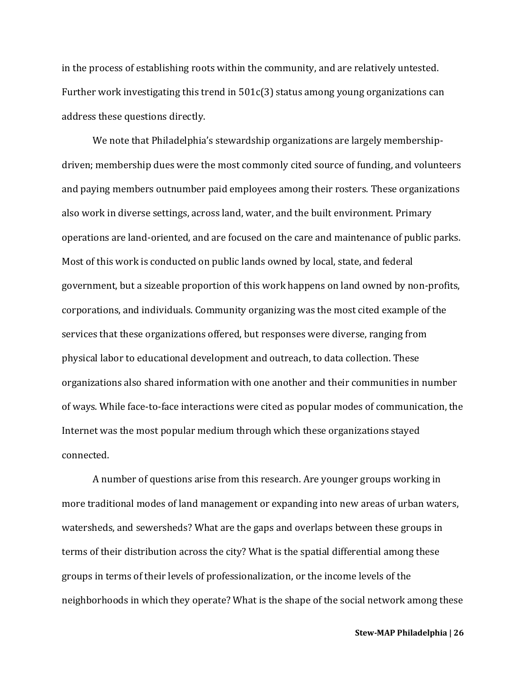in the process of establishing roots within the community, and are relatively untested. Further work investigating this trend in 501c(3) status among young organizations can address these questions directly.

We note that Philadelphia's stewardship organizations are largely membershipdriven; membership dues were the most commonly cited source of funding, and volunteers and paying members outnumber paid employees among their rosters. These organizations also work in diverse settings, across land, water, and the built environment. Primary operations are land-oriented, and are focused on the care and maintenance of public parks. Most of this work is conducted on public lands owned by local, state, and federal government, but a sizeable proportion of this work happens on land owned by non-profits, corporations, and individuals. Community organizing was the most cited example of the services that these organizations offered, but responses were diverse, ranging from physical labor to educational development and outreach, to data collection. These organizations also shared information with one another and their communities in number of ways. While face-to-face interactions were cited as popular modes of communication, the Internet was the most popular medium through which these organizations stayed connected.

A number of questions arise from this research. Are younger groups working in more traditional modes of land management or expanding into new areas of urban waters, watersheds, and sewersheds? What are the gaps and overlaps between these groups in terms of their distribution across the city? What is the spatial differential among these groups in terms of their levels of professionalization, or the income levels of the neighborhoods in which they operate? What is the shape of the social network among these

**Stew-MAP Philadelphia | 26**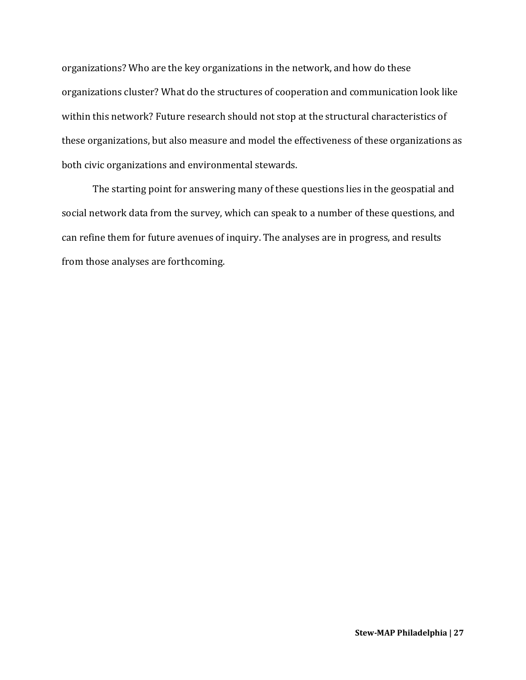organizations? Who are the key organizations in the network, and how do these organizations cluster? What do the structures of cooperation and communication look like within this network? Future research should not stop at the structural characteristics of these organizations, but also measure and model the effectiveness of these organizations as both civic organizations and environmental stewards.

The starting point for answering many of these questions lies in the geospatial and social network data from the survey, which can speak to a number of these questions, and can refine them for future avenues of inquiry. The analyses are in progress, and results from those analyses are forthcoming.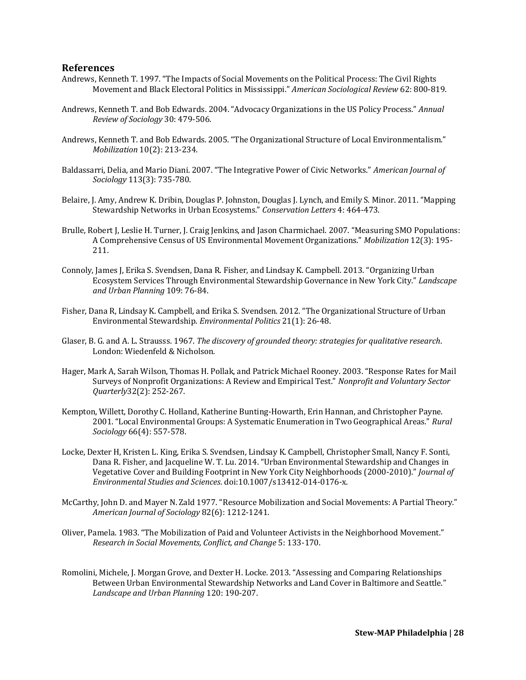#### **References**

- Andrews, Kenneth T. 1997. "The Impacts of Social Movements on the Political Process: The Civil Rights Movement and Black Electoral Politics in Mississippi." *American Sociological Review* 62: 800-819.
- Andrews, Kenneth T. and Bob Edwards. 2004. "Advocacy Organizations in the US Policy Process." *Annual Review of Sociology* 30: 479-506.
- Andrews, Kenneth T. and Bob Edwards. 2005. "The Organizational Structure of Local Environmentalism." *Mobilization* 10(2): 213-234.
- Baldassarri, Delia, and Mario Diani. 2007. "The Integrative Power of Civic Networks." *American Journal of Sociology* 113(3): 735-780.
- Belaire, J. Amy, Andrew K. Dribin, Douglas P. Johnston, Douglas J. Lynch, and Emily S. Minor. 2011. "Mapping Stewardship Networks in Urban Ecosystems." *Conservation Letters* 4: 464-473.
- Brulle, Robert J, Leslie H. Turner, J. Craig Jenkins, and Jason Charmichael. 2007. "Measuring SMO Populations: A Comprehensive Census of US Environmental Movement Organizations." *Mobilization* 12(3): 195- 211.
- Connoly, James J, Erika S. Svendsen, Dana R. Fisher, and Lindsay K. Campbell. 2013. "Organizing Urban Ecosystem Services Through Environmental Stewardship Governance in New York City." *Landscape and Urban Planning* 109: 76-84.
- Fisher, Dana R, Lindsay K. Campbell, and Erika S. Svendsen. 2012. "The Organizational Structure of Urban Environmental Stewardship. *Environmental Politics* 21(1): 26-48.
- Glaser, B. G. and A. L. Strausss. 1967. *The discovery of grounded theory: strategies for qualitative research*. London: Wiedenfeld & Nicholson.
- Hager, Mark A, Sarah Wilson, Thomas H. Pollak, and Patrick Michael Rooney. 2003. "Response Rates for Mail Surveys of Nonprofit Organizations: A Review and Empirical Test." *Nonprofit and Voluntary Sector Quarterly*32(2): 252-267.
- Kempton, Willett, Dorothy C. Holland, Katherine Bunting-Howarth, Erin Hannan, and Christopher Payne. 2001. "Local Environmental Groups: A Systematic Enumeration in Two Geographical Areas." *Rural Sociology* 66(4): 557-578.
- Locke, Dexter H, Kristen L. King, Erika S. Svendsen, Lindsay K. Campbell, Christopher Small, Nancy F. Sonti, Dana R. Fisher, and Jacqueline W. T. Lu. 2014. "Urban Environmental Stewardship and Changes in Vegetative Cover and Building Footprint in New York City Neighborhoods (2000-2010)." *Journal of Environmental Studies and Sciences*. doi:10.1007/s13412-014-0176-x.
- McCarthy, John D. and Mayer N. Zald 1977. "Resource Mobilization and Social Movements: A Partial Theory." *American Journal of Sociology* 82(6): 1212-1241.
- Oliver, Pamela. 1983. "The Mobilization of Paid and Volunteer Activists in the Neighborhood Movement." *Research in Social Movements, Conflict, and Change* 5: 133-170.
- Romolini, Michele, J. Morgan Grove, and Dexter H. Locke. 2013. "Assessing and Comparing Relationships Between Urban Environmental Stewardship Networks and Land Cover in Baltimore and Seattle." *Landscape and Urban Planning* 120: 190-207.